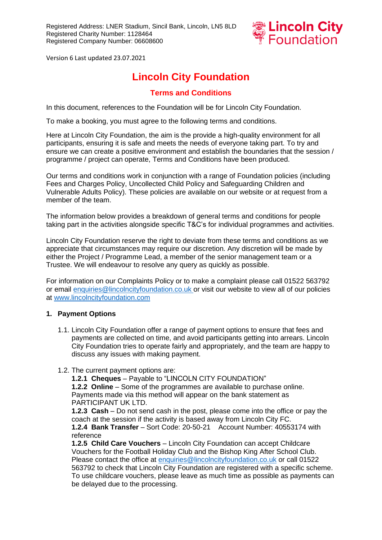

# **Lincoln City Foundation**

# **Terms and Conditions**

In this document, references to the Foundation will be for Lincoln City Foundation*.* 

To make a booking, you must agree to the following terms and conditions.

Here at Lincoln City Foundation, the aim is the provide a high-quality environment for all participants, ensuring it is safe and meets the needs of everyone taking part. To try and ensure we can create a positive environment and establish the boundaries that the session / programme / project can operate, Terms and Conditions have been produced.

Our terms and conditions work in conjunction with a range of Foundation policies (including Fees and Charges Policy, Uncollected Child Policy and Safeguarding Children and Vulnerable Adults Policy). These policies are available on our website or at request from a member of the team.

The information below provides a breakdown of general terms and conditions for people taking part in the activities alongside specific T&C's for individual programmes and activities.

Lincoln City Foundation reserve the right to deviate from these terms and conditions as we appreciate that circumstances may require our discretion. Any discretion will be made by either the Project / Programme Lead, a member of the senior management team or a Trustee. We will endeavour to resolve any query as quickly as possible.

For information on our Complaints Policy or to make a complaint please call 01522 563792 or email [enquiries@lincolncityfoundation.co.uk](mailto:enquiries@lincolncityfoundation.co.uk) or visit our website to view all of our policies at [www.lincolncityfoundation.com](http://www.lincolncityfoundation.com/)

### **1. Payment Options**

- 1.1. Lincoln City Foundation offer a range of payment options to ensure that fees and payments are collected on time, and avoid participants getting into arrears. Lincoln City Foundation tries to operate fairly and appropriately, and the team are happy to discuss any issues with making payment.
- 1.2. The current payment options are:

**1.2.1 Cheques** – Payable to "LINCOLN CITY FOUNDATION" **1.2.2 Online** – Some of the programmes are available to purchase online. Payments made via this method will appear on the bank statement as

PARTICIPANT UK LTD. **1.2.3 Cash** – Do not send cash in the post, please come into the office or pay the coach at the session if the activity is based away from Lincoln City FC.

**1.2.4 Bank Transfer** – Sort Code: 20-50-21 Account Number: 40553174 with reference

**1.2.5 Child Care Vouchers** – Lincoln City Foundation can accept Childcare Vouchers for the Football Holiday Club and the Bishop King After School Club. Please contact the office at [enquiries@lincolncityfoundation.co.uk](mailto:enquiries@lincolncityfoundation.co.uk) or call 01522 563792 to check that Lincoln City Foundation are registered with a specific scheme. To use childcare vouchers, please leave as much time as possible as payments can be delayed due to the processing.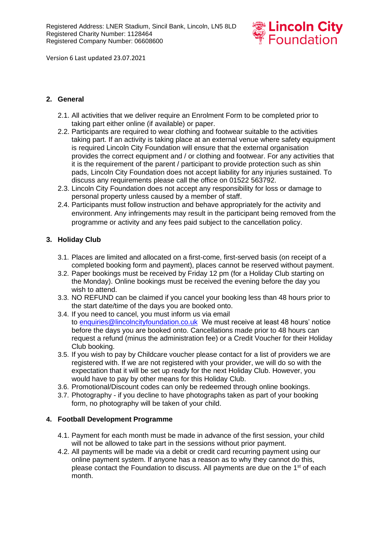

# **2. General**

- 2.1. All activities that we deliver require an Enrolment Form to be completed prior to taking part either online (if available) or paper.
- 2.2. Participants are required to wear clothing and footwear suitable to the activities taking part. If an activity is taking place at an external venue where safety equipment is required Lincoln City Foundation will ensure that the external organisation provides the correct equipment and / or clothing and footwear. For any activities that it is the requirement of the parent / participant to provide protection such as shin pads, Lincoln City Foundation does not accept liability for any injuries sustained. To discuss any requirements please call the office on 01522 563792.
- 2.3. Lincoln City Foundation does not accept any responsibility for loss or damage to personal property unless caused by a member of staff.
- 2.4. Participants must follow instruction and behave appropriately for the activity and environment. Any infringements may result in the participant being removed from the programme or activity and any fees paid subject to the cancellation policy.

# **3. Holiday Club**

- 3.1. Places are limited and allocated on a first-come, first-served basis (on receipt of a completed booking form and payment), places cannot be reserved without payment.
- 3.2. Paper bookings must be received by Friday 12 pm (for a Holiday Club starting on the Monday). Online bookings must be received the evening before the day you wish to attend.
- 3.3. NO REFUND can be claimed if you cancel your booking less than 48 hours prior to the start date/time of the days you are booked onto.
- 3.4. If you need to cancel, you must inform us via email to [enquiries@lincolncityfoundation.co.uk](mailto:enquiries@lincolncityfoundation.co.uk) We must receive at least 48 hours' notice before the days you are booked onto. Cancellations made prior to 48 hours can request a refund (minus the administration fee) or a Credit Voucher for their Holiday Club booking.
- 3.5. If you wish to pay by Childcare voucher please contact for a list of providers we are registered with. If we are not registered with your provider, we will do so with the expectation that it will be set up ready for the next Holiday Club. However, you would have to pay by other means for this Holiday Club.
- 3.6. Promotional/Discount codes can only be redeemed through online bookings.
- 3.7. Photography if you decline to have photographs taken as part of your booking form, no photography will be taken of your child.

### **4. Football Development Programme**

- 4.1. Payment for each month must be made in advance of the first session, your child will not be allowed to take part in the sessions without prior payment.
- 4.2. All payments will be made via a debit or credit card recurring payment using our online payment system. If anyone has a reason as to why they cannot do this, please contact the Foundation to discuss. All payments are due on the 1<sup>st</sup> of each month.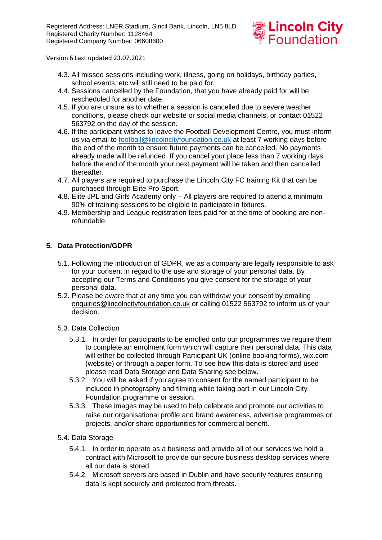

- 4.3. All missed sessions including work, illness, going on holidays, birthday parties, school events, etc will still need to be paid for.
- 4.4. Sessions cancelled by the Foundation, that you have already paid for will be rescheduled for another date.
- 4.5. If you are unsure as to whether a session is cancelled due to severe weather conditions, please check our website or social media channels, or contact 01522 563792 on the day of the session.
- 4.6. If the participant wishes to leave the Football Development Centre, you must inform us via email to [football@lincolncityfoundation.co.uk](mailto:football@lincolncityfoundation.co.uk) at least 7 working days before the end of the month to ensure future payments can be cancelled. No payments already made will be refunded. If you cancel your place less than 7 working days before the end of the month your next payment will be taken and then cancelled thereafter.
- 4.7. All players are required to purchase the Lincoln City FC training Kit that can be purchased through Elite Pro Sport.
- 4.8. Elite JPL and Girls Academy only All players are required to attend a minimum 90% of training sessions to be eligible to participate in fixtures.
- 4.9. Membership and League registration fees paid for at the time of booking are nonrefundable.

# **5. Data Protection/GDPR**

- 5.1. Following the introduction of GDPR, we as a company are legally responsible to ask for your consent in regard to the use and storage of your personal data. By accepting our Terms and Conditions you give consent for the storage of your personal data.
- 5.2. Please be aware that at any time you can withdraw your consent by emailing [enquiries@lincolncityfoundation.co.uk](mailto:enquiries@lincolncityfoundation.co.uk) or calling 01522 563792 to inform us of your decision.
- 5.3. Data Collection
	- 5.3.1. In order for participants to be enrolled onto our programmes we require them to complete an enrolment form which will capture their personal data. This data will either be collected through Participant UK (online booking forms), wix.com (website) or through a paper form. To see how this data is stored and used please read Data Storage and Data Sharing see below.
	- 5.3.2. You will be asked if you agree to consent for the named participant to be included in photography and filming while taking part in our Lincoln City Foundation programme or session.
	- 5.3.3. These images may be used to help celebrate and promote our activities to raise our organisational profile and brand awareness, advertise programmes or projects, and/or share opportunities for commercial benefit.

### 5.4. Data Storage

- 5.4.1. In order to operate as a business and provide all of our services we hold a contract with Microsoft to provide our secure business desktop services where all our data is stored.
- 5.4.2. Microsoft servers are based in Dublin and have security features ensuring data is kept securely and protected from threats.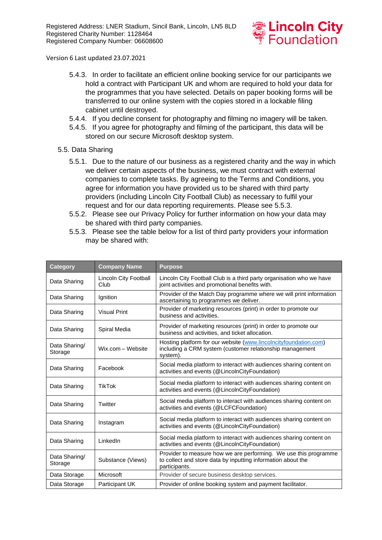

- 5.4.3. In order to facilitate an efficient online booking service for our participants we hold a contract with Participant UK and whom are required to hold your data for the programmes that you have selected. Details on paper booking forms will be transferred to our online system with the copies stored in a lockable filing cabinet until destroyed.
- 5.4.4. If you decline consent for photography and filming no imagery will be taken.
- 5.4.5. If you agree for photography and filming of the participant, this data will be stored on our secure Microsoft desktop system.
- 5.5. Data Sharing
	- 5.5.1. Due to the nature of our business as a registered charity and the way in which we deliver certain aspects of the business, we must contract with external companies to complete tasks. By agreeing to the Terms and Conditions, you agree for information you have provided us to be shared with third party providers (including Lincoln City Football Club) as necessary to fulfil your request and for our data reporting requirements. Please see 5.5.3.
	- 5.5.2. Please see our Privacy Policy for further information on how your data may be shared with third party companies.
	- 5.5.3. Please see the table below for a list of third party providers your information may be shared with:

| <b>Category</b>          | <b>Company Name</b>           | <b>Purpose</b>                                                                                                                                    |
|--------------------------|-------------------------------|---------------------------------------------------------------------------------------------------------------------------------------------------|
| Data Sharing             | Lincoln City Football<br>Club | Lincoln City Football Club is a third party organisation who we have<br>joint activities and promotional benefits with.                           |
| Data Sharing             | Ignition                      | Provider of the Match Day programme where we will print information<br>ascertaining to programmes we deliver.                                     |
| Data Sharing             | <b>Visual Print</b>           | Provider of marketing resources (print) in order to promote our<br>business and activities.                                                       |
| Data Sharing             | Spiral Media                  | Provider of marketing resources (print) in order to promote our<br>business and activities, and ticket allocation.                                |
| Data Sharing/<br>Storage | Wix.com - Website             | Hosting platform for our website (www.lincolncityfoundation.com)<br>including a CRM system (customer relationship management<br>system).          |
| Data Sharing             | Facebook                      | Social media platform to interact with audiences sharing content on<br>activities and events (@LincolnCityFoundation)                             |
| Data Sharing             | <b>TikTok</b>                 | Social media platform to interact with audiences sharing content on<br>activities and events (@LincolnCityFoundation)                             |
| Data Sharing             | <b>Twitter</b>                | Social media platform to interact with audiences sharing content on<br>activities and events (@LCFCFoundation)                                    |
| Data Sharing             | Instagram                     | Social media platform to interact with audiences sharing content on<br>activities and events (@LincolnCityFoundation)                             |
| Data Sharing             | LinkedIn                      | Social media platform to interact with audiences sharing content on<br>activities and events (@LincolnCityFoundation)                             |
| Data Sharing/<br>Storage | Substance (Views)             | Provider to measure how we are performing. We use this programme<br>to collect and store data by inputting information about the<br>participants. |
| Data Storage             | Microsoft                     | Provider of secure business desktop services.                                                                                                     |
| Data Storage             | Participant UK                | Provider of online booking system and payment facilitator.                                                                                        |